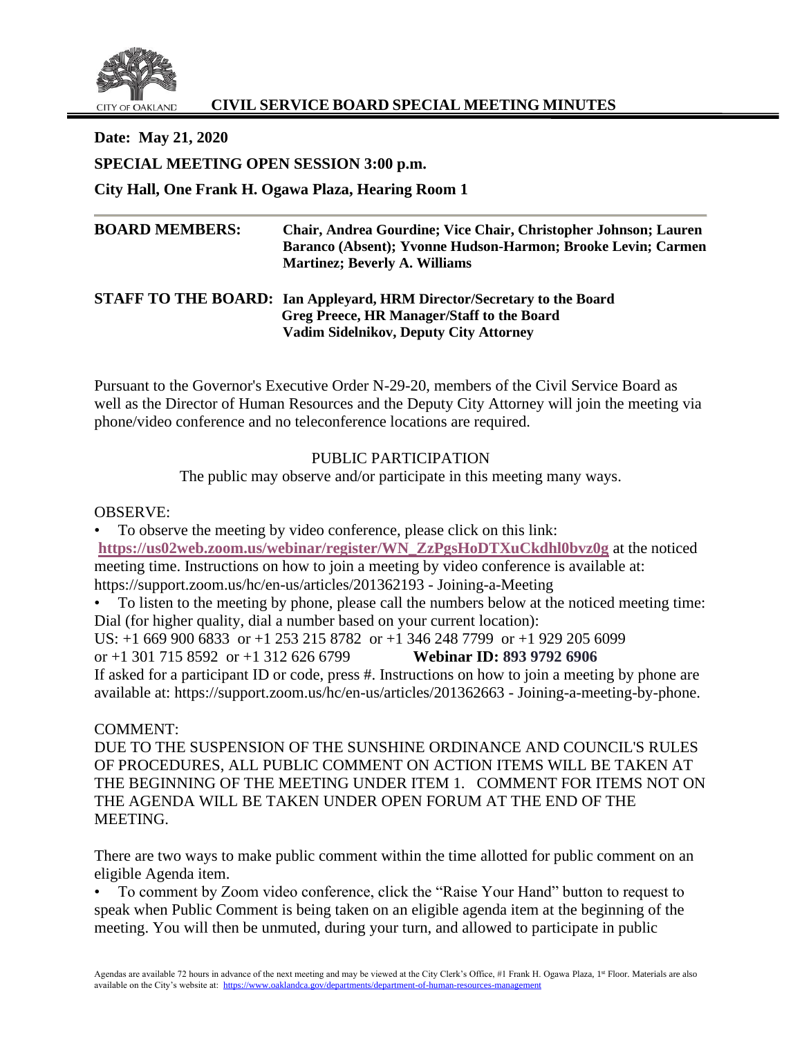

# **CIVIL SERVICE BOARD SPECIAL MEETING MINUTES**

**Date: May 21, 2020 SPECIAL MEETING OPEN SESSION 3:00 p.m. City Hall, One Frank H. Ogawa Plaza, Hearing Room 1**

# **BOARD MEMBERS: Chair, Andrea Gourdine; Vice Chair, Christopher Johnson; Lauren Baranco (Absent); Yvonne Hudson-Harmon; Brooke Levin; Carmen Martinez; Beverly A. Williams**

### **STAFF TO THE BOARD: Ian Appleyard, HRM Director/Secretary to the Board Greg Preece, HR Manager/Staff to the Board Vadim Sidelnikov, Deputy City Attorney**

Pursuant to the Governor's Executive Order N-29-20, members of the Civil Service Board as well as the Director of Human Resources and the Deputy City Attorney will join the meeting via phone/video conference and no teleconference locations are required.

## PUBLIC PARTICIPATION

The public may observe and/or participate in this meeting many ways.

## OBSERVE:

• To observe the meeting by video conference, please click on this link: **[https://us02web.zoom.us/webinar/register/WN\\_ZzPgsHoDTXuCkdhl0bvz0g](https://us02web.zoom.us/webinar/register/WN_ZzPgsHoDTXuCkdhl0bvz0g)** at the noticed meeting time. Instructions on how to join a meeting by video conference is available at: https://support.zoom.us/hc/en-us/articles/201362193 - Joining-a-Meeting

• To listen to the meeting by phone, please call the numbers below at the noticed meeting time: Dial (for higher quality, dial a number based on your current location):

US: +1 669 900 6833 or +1 253 215 8782 or +1 346 248 7799 or +1 929 205 6099

or +1 301 715 8592 or +1 312 626 6799 **Webinar ID: 893 9792 6906**

If asked for a participant ID or code, press #. Instructions on how to join a meeting by phone are available at: https://support.zoom.us/hc/en-us/articles/201362663 - Joining-a-meeting-by-phone.

# COMMENT:

DUE TO THE SUSPENSION OF THE SUNSHINE ORDINANCE AND COUNCIL'S RULES OF PROCEDURES, ALL PUBLIC COMMENT ON ACTION ITEMS WILL BE TAKEN AT THE BEGINNING OF THE MEETING UNDER ITEM 1. COMMENT FOR ITEMS NOT ON THE AGENDA WILL BE TAKEN UNDER OPEN FORUM AT THE END OF THE MEETING.

There are two ways to make public comment within the time allotted for public comment on an eligible Agenda item.

• To comment by Zoom video conference, click the "Raise Your Hand" button to request to speak when Public Comment is being taken on an eligible agenda item at the beginning of the meeting. You will then be unmuted, during your turn, and allowed to participate in public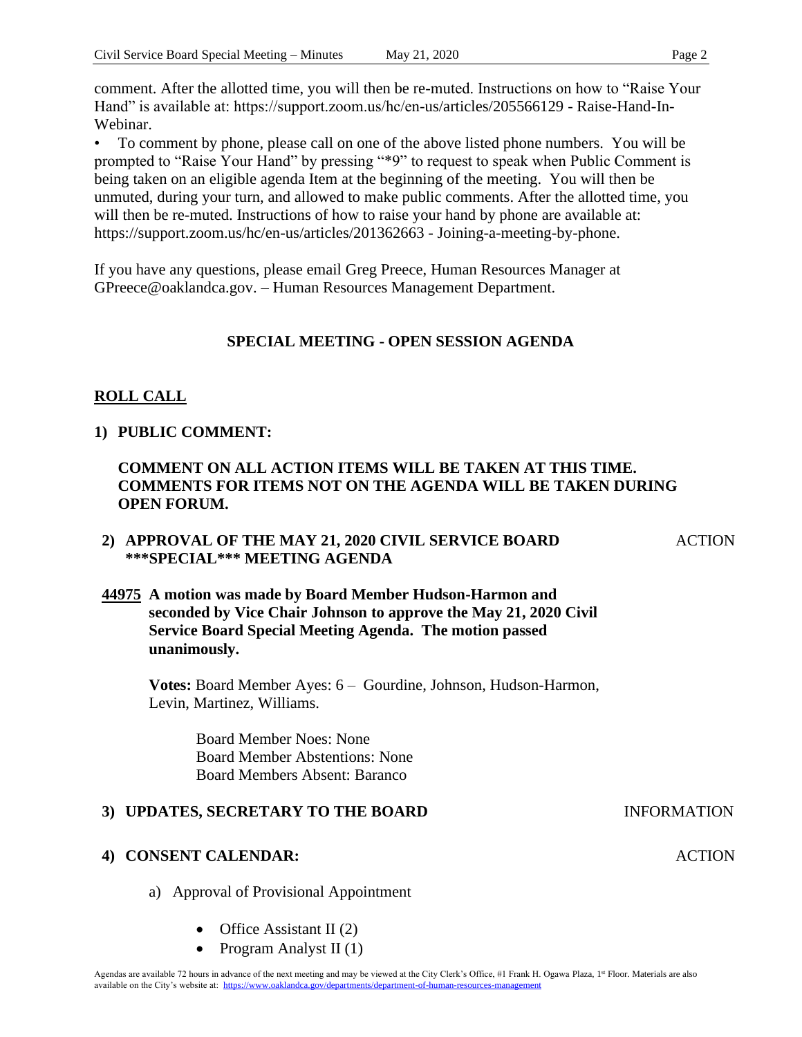comment. After the allotted time, you will then be re-muted. Instructions on how to "Raise Your Hand" is available at: https://support.zoom.us/hc/en-us/articles/205566129 - Raise-Hand-In-Webinar.

• To comment by phone, please call on one of the above listed phone numbers. You will be prompted to "Raise Your Hand" by pressing "\*9" to request to speak when Public Comment is being taken on an eligible agenda Item at the beginning of the meeting. You will then be unmuted, during your turn, and allowed to make public comments. After the allotted time, you will then be re-muted. Instructions of how to raise your hand by phone are available at: https://support.zoom.us/hc/en-us/articles/201362663 - Joining-a-meeting-by-phone.

If you have any questions, please email Greg Preece, Human Resources Manager at GPreece@oaklandca.gov. – Human Resources Management Department.

# **SPECIAL MEETING - OPEN SESSION AGENDA**

# **ROLL CALL**

## **1) PUBLIC COMMENT:**

## **COMMENT ON ALL ACTION ITEMS WILL BE TAKEN AT THIS TIME. COMMENTS FOR ITEMS NOT ON THE AGENDA WILL BE TAKEN DURING OPEN FORUM.**

### **2) APPROVAL OF THE MAY 21, 2020 CIVIL SERVICE BOARD \*\*\*SPECIAL\*\*\* MEETING AGENDA**

**44975 A motion was made by Board Member Hudson-Harmon and seconded by Vice Chair Johnson to approve the May 21, 2020 Civil Service Board Special Meeting Agenda. The motion passed unanimously.**

**Votes:** Board Member Ayes: 6 – Gourdine, Johnson, Hudson-Harmon, Levin, Martinez, Williams.

> Board Member Noes: None Board Member Abstentions: None Board Members Absent: Baranco

### **3) UPDATES, SECRETARY TO THE BOARD INFORMATION**

### **4) CONSENT CALENDAR:**

- a) Approval of Provisional Appointment
	- Office Assistant II (2)
	- Program Analyst II (1)

### ACTION

ACTION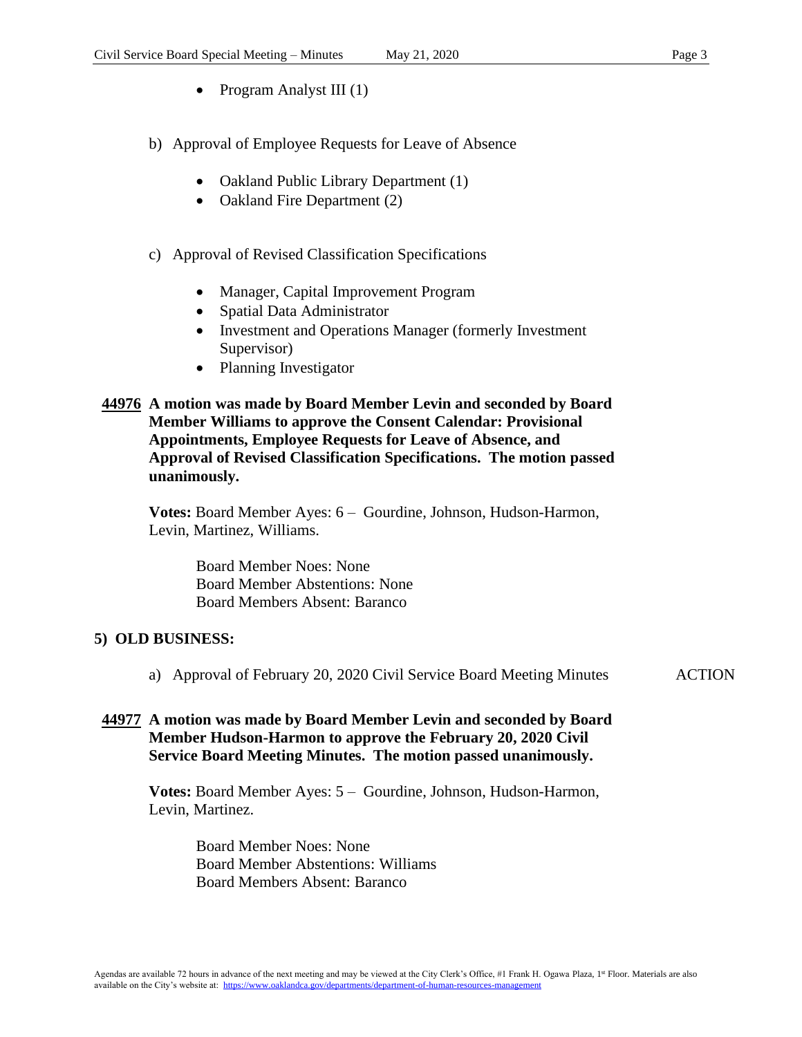- Program Analyst III (1)
- b) Approval of Employee Requests for Leave of Absence
	- Oakland Public Library Department (1)
	- Oakland Fire Department (2)

### c) Approval of Revised Classification Specifications

- Manager, Capital Improvement Program
- Spatial Data Administrator
- Investment and Operations Manager (formerly Investment Supervisor)
- Planning Investigator

### **44976 A motion was made by Board Member Levin and seconded by Board Member Williams to approve the Consent Calendar: Provisional Appointments, Employee Requests for Leave of Absence, and Approval of Revised Classification Specifications. The motion passed unanimously.**

**Votes:** Board Member Ayes: 6 – Gourdine, Johnson, Hudson-Harmon, Levin, Martinez, Williams.

> Board Member Noes: None Board Member Abstentions: None Board Members Absent: Baranco

### **5) OLD BUSINESS:**

a) Approval of February 20, 2020 Civil Service Board Meeting Minutes ACTION

## **44977 A motion was made by Board Member Levin and seconded by Board Member Hudson-Harmon to approve the February 20, 2020 Civil Service Board Meeting Minutes. The motion passed unanimously.**

**Votes:** Board Member Ayes: 5 – Gourdine, Johnson, Hudson-Harmon, Levin, Martinez.

> Board Member Noes: None Board Member Abstentions: Williams Board Members Absent: Baranco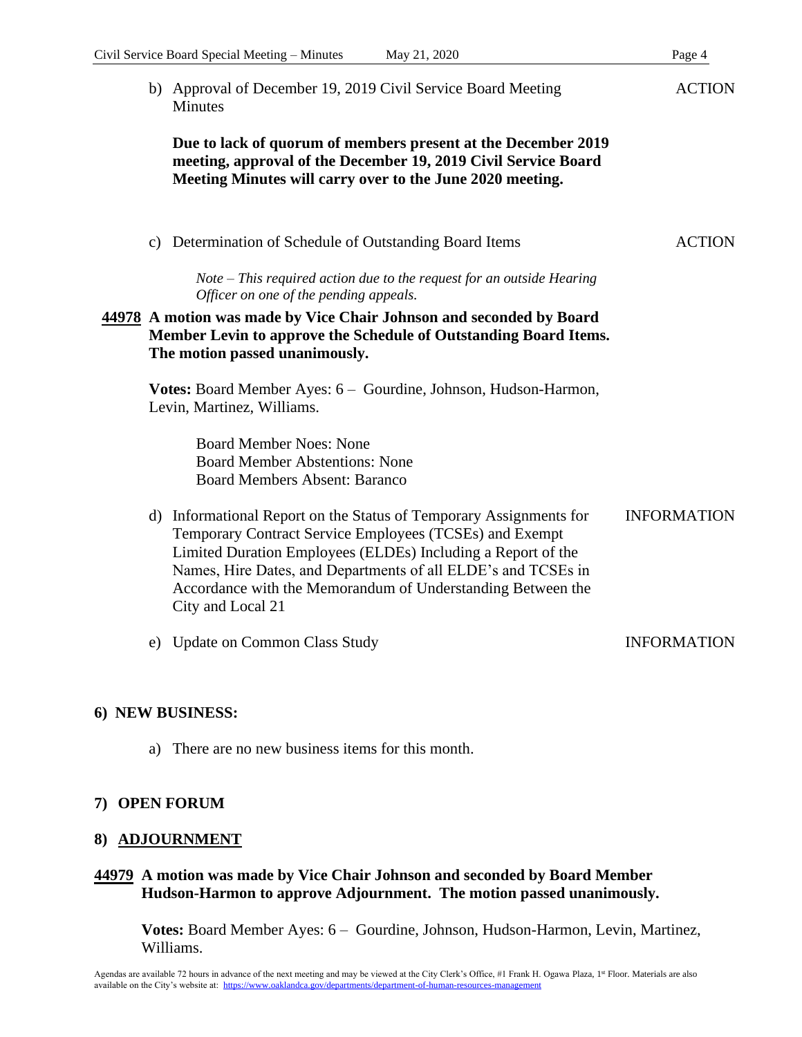b) Approval of December 19, 2019 Civil Service Board Meeting **Minutes** 

**Due to lack of quorum of members present at the December 2019 meeting, approval of the December 19, 2019 Civil Service Board Meeting Minutes will carry over to the June 2020 meeting.**

c) Determination of Schedule of Outstanding Board Items ACTION

*Note – This required action due to the request for an outside Hearing Officer on one of the pending appeals.* 

## **44978 A motion was made by Vice Chair Johnson and seconded by Board Member Levin to approve the Schedule of Outstanding Board Items. The motion passed unanimously.**

**Votes:** Board Member Ayes: 6 – Gourdine, Johnson, Hudson-Harmon, Levin, Martinez, Williams.

> Board Member Noes: None Board Member Abstentions: None Board Members Absent: Baranco

- d) Informational Report on the Status of Temporary Assignments for Temporary Contract Service Employees (TCSEs) and Exempt Limited Duration Employees (ELDEs) Including a Report of the Names, Hire Dates, and Departments of all ELDE's and TCSEs in Accordance with the Memorandum of Understanding Between the City and Local 21 INFORMATION
- e) Update on Common Class Study INFORMATION

### **6) NEW BUSINESS:**

a) There are no new business items for this month.

### **7) OPEN FORUM**

### **8) ADJOURNMENT**

### **44979 A motion was made by Vice Chair Johnson and seconded by Board Member Hudson-Harmon to approve Adjournment. The motion passed unanimously.**

**Votes:** Board Member Ayes: 6 – Gourdine, Johnson, Hudson-Harmon, Levin, Martinez, Williams.

**ACTION**